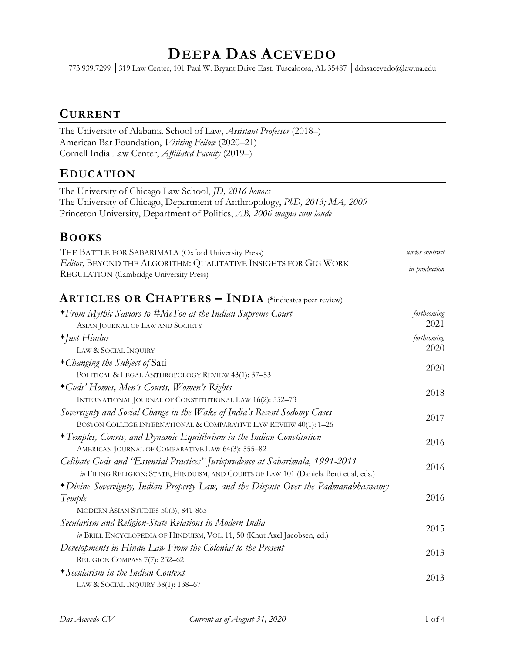# **DEEPA DAS ACEVEDO**

773.939.7299 │319 Law Center, 101 Paul W. Bryant Drive East, Tuscaloosa, AL 35487 │ddasacevedo@law.ua.edu

#### **CURRENT**

The University of Alabama School of Law, *Assistant Professor* (2018–) American Bar Foundation, *Visiting Fellow* (2020–21) Cornell India Law Center, *Affiliated Faculty* (2019–)

### **EDUCATION**

The University of Chicago Law School, *JD, 2016 honors* The University of Chicago, Department of Anthropology, *PhD, 2013; MA, 2009* Princeton University, Department of Politics, *AB, 2006 magna cum laude*

### **BOOKS**

| THE BATTLE FOR SABARIMALA (Oxford University Press)             | under contract |
|-----------------------------------------------------------------|----------------|
| Editor, BEYOND THE ALGORITHM: QUALITATIVE INSIGHTS FOR GIG WORK | in production  |
| <b>REGULATION</b> (Cambridge University Press)                  |                |

### **ARTICLES OR CHAPTERS – INDIA** (**\***indicates peer review)

| *From Mythic Saviors to #MeToo at the Indian Supreme Court                             | forthcoming |  |
|----------------------------------------------------------------------------------------|-------------|--|
| ASIAN JOURNAL OF LAW AND SOCIETY                                                       | 2021        |  |
| *Just Hindus                                                                           | forthcoming |  |
| LAW & SOCIAL INQUIRY                                                                   | 2020        |  |
| *Changing the Subject of Sati                                                          |             |  |
| POLITICAL & LEGAL ANTHROPOLOGY REVIEW 43(1): 37-53                                     | 2020        |  |
| *Gods' Homes, Men's Courts, Women's Rights                                             |             |  |
| INTERNATIONAL JOURNAL OF CONSTITUTIONAL LAW 16(2): 552-73                              | 2018        |  |
| Sovereignty and Social Change in the Wake of India's Recent Sodomy Cases               |             |  |
| BOSTON COLLEGE INTERNATIONAL & COMPARATIVE LAW REVIEW 40(1): 1-26                      | 2017        |  |
| * Temples, Courts, and Dynamic Equilibrium in the Indian Constitution                  | 2016        |  |
| AMERICAN JOURNAL OF COMPARATIVE LAW 64(3): 555-82                                      |             |  |
| Celibate Gods and "Essential Practices" Jurisprudence at Sabarimala, 1991-2011         | 2016        |  |
| in FILING RELIGION: STATE, HINDUISM, AND COURTS OF LAW 101 (Daniela Berti et al, eds.) |             |  |
| *Divine Sovereignty, Indian Property Law, and the Dispute Over the Padmanabhaswamy     |             |  |
| Temple                                                                                 | 2016        |  |
| MODERN ASIAN STUDIES 50(3), 841-865                                                    |             |  |
| Secularism and Religion-State Relations in Modern India                                | 2015        |  |
| in BRILL ENCYCLOPEDIA OF HINDUISM, VOL. 11, 50 (Knut Axel Jacobsen, ed.)               |             |  |
| Developments in Hindu Law From the Colonial to the Present                             | 2013        |  |
| RELIGION COMPASS 7(7): 252-62                                                          |             |  |
| * Secularism in the Indian Context                                                     | 2013        |  |
| LAW & SOCIAL INQUIRY 38(1): 138-67                                                     |             |  |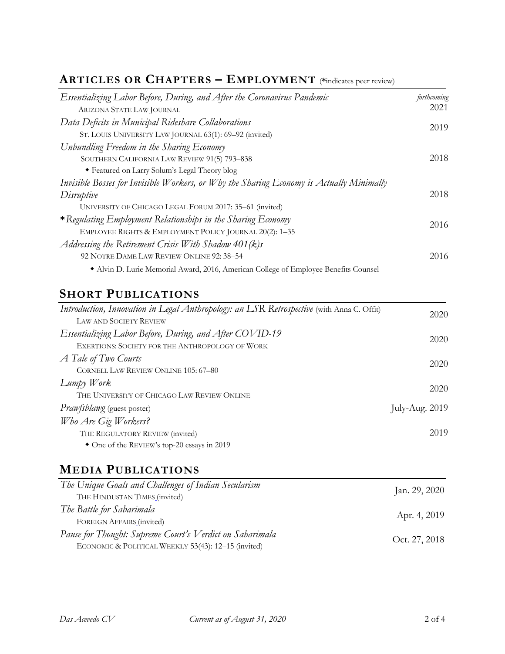## **ARTICLES OR CHAPTERS – EMPLOYMENT** (**\***indicates peer review)

| Essentializing Labor Before, During, and After the Coronavirus Pandemic                  | forthcoming |
|------------------------------------------------------------------------------------------|-------------|
| ARIZONA STATE LAW JOURNAL                                                                | 2021        |
| Data Deficits in Municipal Rideshare Collaborations                                      |             |
| ST. LOUIS UNIVERSITY LAW JOURNAL 63(1): 69-92 (invited)                                  | 2019        |
| Unbundling Freedom in the Sharing Economy                                                |             |
| SOUTHERN CALIFORNIA LAW REVIEW 91(5) 793-838                                             | 2018        |
| • Featured on Larry Solum's Legal Theory blog                                            |             |
| Invisible Bosses for Invisible Workers, or Why the Sharing Economy is Actually Minimally |             |
| Disruptive                                                                               | 2018        |
| UNIVERSITY OF CHICAGO LEGAL FORUM 2017: 35-61 (invited)                                  |             |
| * Regulating Employment Relationships in the Sharing Economy                             | 2016        |
| EMPLOYEE RIGHTS & EMPLOYMENT POLICY JOURNAL 20(2): 1-35                                  |             |
| Addressing the Retirement Crisis With Shadow $401(k)$ s                                  |             |
| 92 NOTRE DAME LAW REVIEW ONLINE 92: 38-54                                                | 2016        |
| • Alvin D. Lurie Memorial Award, 2016, American College of Employee Benefits Counsel     |             |

## **SHORT PUBLICATIONS**

| 2020             |
|------------------|
|                  |
| 2020             |
|                  |
| 2020             |
|                  |
| 2020             |
|                  |
| July-Aug. $2019$ |
|                  |
| 2019             |
|                  |
|                  |

## **MEDIA PUBLICATIONS**

| The Unique Goals and Challenges of Indian Secularism     | Jan. 29, 2020 |
|----------------------------------------------------------|---------------|
| THE HINDUSTAN TIMES_(invited)                            |               |
| The Battle for Sabarimala                                | Apr. 4, 2019  |
| FOREIGN AFFAIRS (invited)                                |               |
| Pause for Thought: Supreme Court's Verdict on Sabarimala | Oct. 27, 2018 |
| ECONOMIC & POLITICAL WEEKLY 53(43): 12-15 (invited)      |               |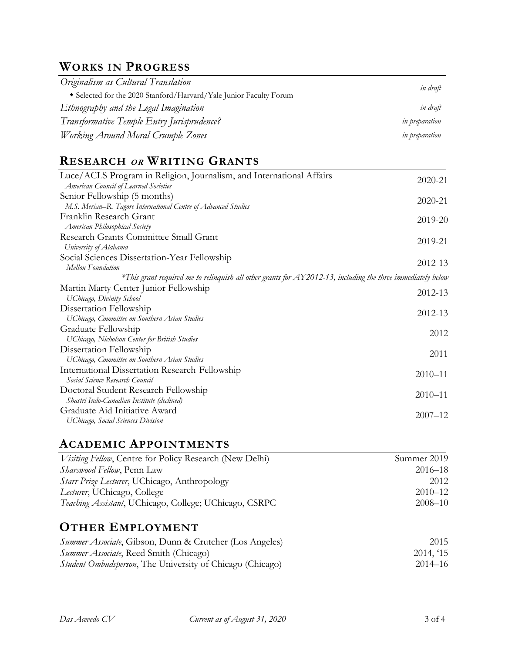# **WORKS IN PROGRESS**

| Originalism as Cultural Translation                                | in draft       |
|--------------------------------------------------------------------|----------------|
| • Selected for the 2020 Stanford/Harvard/Yale Junior Faculty Forum |                |
| Ethnography and the Legal Imagination                              | in draft       |
| Transformative Temple Entry Jurisprudence?                         | in preparation |
| Working Around Moral Crumple Zones                                 | in preparation |

## **RESEARCH OR WRITING GRANTS**

| Luce/ACLS Program in Religion, Journalism, and International Affairs                                              | 2020-21     |
|-------------------------------------------------------------------------------------------------------------------|-------------|
| <b>American Council of Learned Societies</b>                                                                      |             |
| Senior Fellowship (5 months)                                                                                      | 2020-21     |
| M.S. Merian-R. Tagore International Centre of Advanced Studies                                                    |             |
| Franklin Research Grant                                                                                           | 2019-20     |
| American Philosophical Society                                                                                    |             |
| Research Grants Committee Small Grant                                                                             | 2019-21     |
| University of Alabama                                                                                             |             |
| Social Sciences Dissertation-Year Fellowship                                                                      |             |
| Mellon Foundation                                                                                                 | 2012-13     |
| $*$ This grant required me to relinquish all other grants for $AY2012$ -13, including the three immediately below |             |
| Martin Marty Center Junior Fellowship                                                                             | 2012-13     |
| UChicago, Divinity School                                                                                         |             |
| Dissertation Fellowship                                                                                           |             |
| UChicago, Committee on Southern Asian Studies                                                                     | 2012-13     |
| Graduate Fellowship                                                                                               | 2012        |
| UChicago, Nicholson Center for British Studies                                                                    |             |
| Dissertation Fellowship                                                                                           |             |
| UChicago, Committee on Southern Asian Studies                                                                     | 2011        |
| International Dissertation Research Fellowship                                                                    | $2010 - 11$ |
| Social Science Research Council                                                                                   |             |
| Doctoral Student Research Fellowship                                                                              | $2010 - 11$ |
| Shastri Indo-Canadian Institute (declined)                                                                        |             |
| Graduate Aid Initiative Award                                                                                     | $2007 - 12$ |
| <b>UChicago</b> , Social Sciences Division                                                                        |             |

## **ACADEMIC APPOINTMENTS**

| <i>Visiting Fellow</i> , Centre for Policy Research (New Delhi) | Summer 2019 |
|-----------------------------------------------------------------|-------------|
| <i>Sharswood Fellow</i> , Penn Law                              | $2016 - 18$ |
| <i>Starr Prize Lecturer</i> , UChicago, Anthropology            | 2012        |
| <i>Lecturer</i> , UChicago, College                             | $2010 - 12$ |
| <i>Teaching Assistant</i> , UChicago, College; UChicago, CSRPC  | $2008 - 10$ |

## **OTHER EMPLOYMENT**

| <i>Summer Associate</i> , Gibson, Dunn & Crutcher (Los Angeles)   | 2015        |
|-------------------------------------------------------------------|-------------|
| <i>Summer Associate</i> , Reed Smith (Chicago)                    | 2014, '15   |
| <i>Student Ombudsperson</i> , The University of Chicago (Chicago) | $2014 - 16$ |